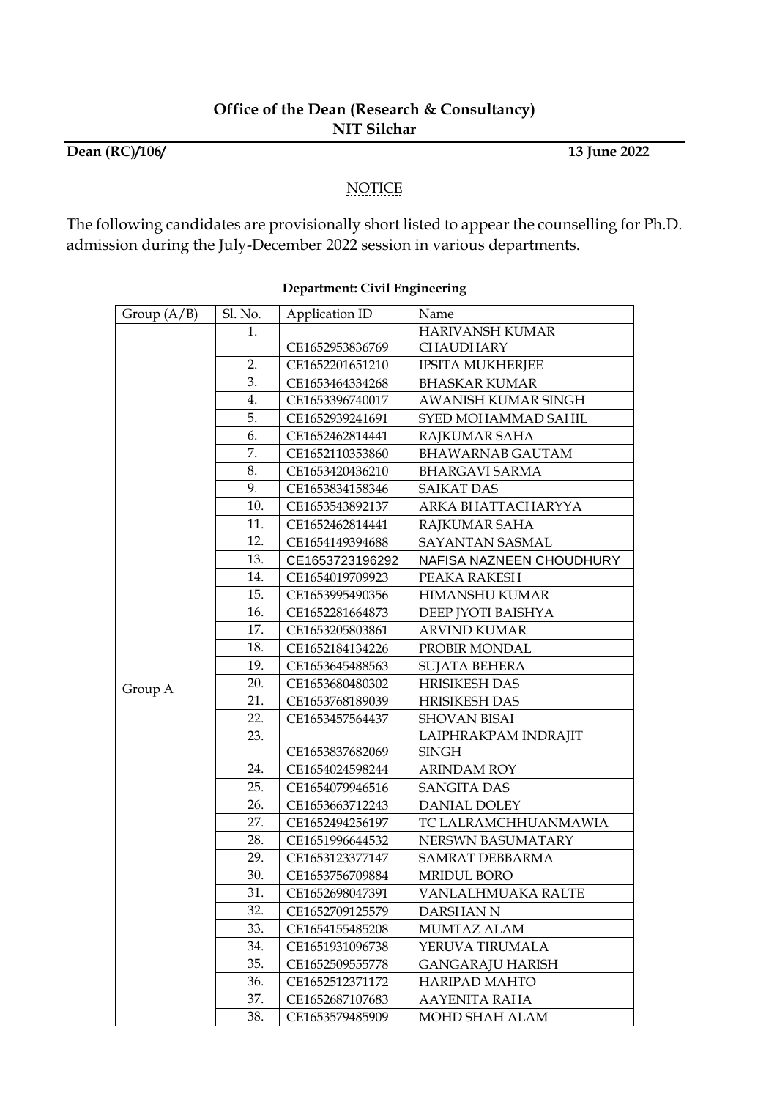**Dean (RC)/106/ 13 June 2022**

#### NOTICE

The following candidates are provisionally short listed to appear the counselling for Ph.D. admission during the July-December 2022 session in various departments.

| Group $(A/B)$ | Sl. No. | Application ID  | Name                     |
|---------------|---------|-----------------|--------------------------|
|               | 1.      |                 | HARIVANSH KUMAR          |
|               |         | CE1652953836769 | CHAUDHARY                |
|               | 2.      | CE1652201651210 | <b>IPSITA MUKHERJEE</b>  |
|               | 3.      | CE1653464334268 | <b>BHASKAR KUMAR</b>     |
|               | 4.      | CE1653396740017 | AWANISH KUMAR SINGH      |
|               | 5.      | CE1652939241691 | SYED MOHAMMAD SAHIL      |
|               | 6.      | CE1652462814441 | RAJKUMAR SAHA            |
|               | 7.      | CE1652110353860 | BHAWARNAB GAUTAM         |
|               | 8.      | CE1653420436210 | <b>BHARGAVI SARMA</b>    |
|               | 9.      | CE1653834158346 | <b>SAIKAT DAS</b>        |
|               | 10.     | CE1653543892137 | ARKA BHATTACHARYYA       |
|               | 11.     | CE1652462814441 | RAJKUMAR SAHA            |
|               | 12.     | CE1654149394688 | SAYANTAN SASMAL          |
|               | 13.     | CE1653723196292 | NAFISA NAZNEEN CHOUDHURY |
|               | 14.     | CE1654019709923 | PEAKA RAKESH             |
|               | 15.     | CE1653995490356 | <b>HIMANSHU KUMAR</b>    |
|               | 16.     | CE1652281664873 | DEEP JYOTI BAISHYA       |
|               | 17.     | CE1653205803861 | ARVIND KUMAR             |
|               | 18.     | CE1652184134226 | PROBIR MONDAL            |
|               | 19.     | CE1653645488563 | <b>SUJATA BEHERA</b>     |
| Group A       | 20.     | CE1653680480302 | HRISIKESH DAS            |
|               | 21.     | CE1653768189039 | <b>HRISIKESH DAS</b>     |
|               | 22.     | CE1653457564437 | <b>SHOVAN BISAI</b>      |
|               | 23.     |                 | LAIPHRAKPAM INDRAJIT     |
|               |         | CE1653837682069 | <b>SINGH</b>             |
|               | 24.     | CE1654024598244 | <b>ARINDAM ROY</b>       |
|               | 25.     | CE1654079946516 | <b>SANGITA DAS</b>       |
|               | 26.     | CE1653663712243 | DANIAL DOLEY             |
|               | 27.     | CE1652494256197 | TC LALRAMCHHUANMAWIA     |
|               | 28.     | CE1651996644532 | NERSWN BASUMATARY        |
|               | 29.     | CE1653123377147 | SAMRAT DEBBARMA          |
|               | 30.     | CE1653756709884 | <b>MRIDUL BORO</b>       |
|               | 31.     | CE1652698047391 | VANLALHMUAKA RALTE       |
|               | 32.     | CE1652709125579 | DARSHAN N                |
|               | 33.     | CE1654155485208 | MUMTAZ ALAM              |
|               | 34.     | CE1651931096738 | YERUVA TIRUMALA          |
|               | 35.     | CE1652509555778 | <b>GANGARAJU HARISH</b>  |
|               | 36.     | CE1652512371172 | HARIPAD MAHTO            |
|               | 37.     | CE1652687107683 | AAYENITA RAHA            |
|               | 38.     | CE1653579485909 | MOHD SHAH ALAM           |

# **Department: Civil Engineering**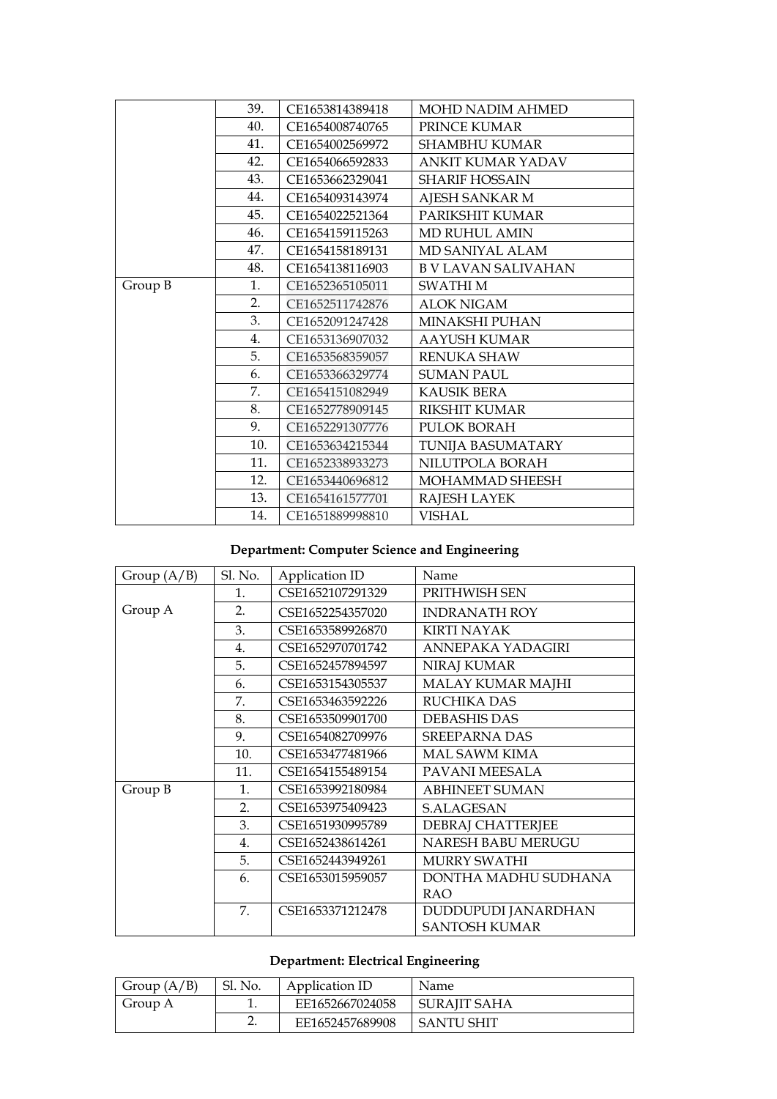|         | 39. | CE1653814389418 | <b>MOHD NADIM AHMED</b>    |
|---------|-----|-----------------|----------------------------|
|         | 40. | CE1654008740765 | PRINCE KUMAR               |
|         | 41. | CE1654002569972 | <b>SHAMBHU KUMAR</b>       |
|         | 42. | CE1654066592833 | ANKIT KUMAR YADAV          |
|         | 43. | CE1653662329041 | <b>SHARIF HOSSAIN</b>      |
|         | 44. | CE1654093143974 | AJESH SANKAR M             |
|         | 45. | CE1654022521364 | PARIKSHIT KUMAR            |
|         | 46. | CE1654159115263 | <b>MD RUHUL AMIN</b>       |
|         | 47. | CE1654158189131 | MD SANIYAL ALAM            |
|         | 48. | CE1654138116903 | <b>B V LAVAN SALIVAHAN</b> |
| Group B | 1.  | CE1652365105011 | <b>SWATHIM</b>             |
|         | 2.  | CE1652511742876 | <b>ALOK NIGAM</b>          |
|         | 3.  | CE1652091247428 | <b>MINAKSHI PUHAN</b>      |
|         | 4.  | CE1653136907032 | <b>AAYUSH KUMAR</b>        |
|         | 5.  | CE1653568359057 | <b>RENUKA SHAW</b>         |
|         | 6.  | CE1653366329774 | <b>SUMAN PAUL</b>          |
|         | 7.  | CE1654151082949 | <b>KAUSIK BERA</b>         |
|         | 8.  | CE1652778909145 | <b>RIKSHIT KUMAR</b>       |
|         | 9.  | CE1652291307776 | PULOK BORAH                |
|         | 10. | CE1653634215344 | TUNIJA BASUMATARY          |
|         | 11. | CE1652338933273 | NILUTPOLA BORAH            |
|         | 12. | CE1653440696812 | MOHAMMAD SHEESH            |
|         | 13. | CE1654161577701 | RAJESH LAYEK               |
|         | 14. | CE1651889998810 | <b>VISHAL</b>              |

#### **Department: Computer Science and Engineering**

| Group $(A/B)$ | Sl. No. | Application ID   | Name                  |
|---------------|---------|------------------|-----------------------|
|               | 1.      | CSE1652107291329 | PRITHWISH SEN         |
| Group A       | 2.      | CSE1652254357020 | <b>INDRANATH ROY</b>  |
|               | 3.      | CSE1653589926870 | <b>KIRTI NAYAK</b>    |
|               | 4.      | CSE1652970701742 | ANNEPAKA YADAGIRI     |
|               | 5.      | CSE1652457894597 | <b>NIRAJ KUMAR</b>    |
|               | 6.      | CSE1653154305537 | MALAY KUMAR MAJHI     |
|               | 7.      | CSE1653463592226 | <b>RUCHIKA DAS</b>    |
|               | 8.      | CSE1653509901700 | <b>DEBASHIS DAS</b>   |
|               | 9.      | CSE1654082709976 | <b>SREEPARNA DAS</b>  |
|               | 10.     | CSE1653477481966 | MAL SAWM KIMA         |
|               | 11.     | CSE1654155489154 | PAVANI MEESALA        |
| Group B       | 1.      | CSE1653992180984 | <b>ABHINEET SUMAN</b> |
|               | 2.      | CSE1653975409423 | <b>S.ALAGESAN</b>     |
|               | 3.      | CSE1651930995789 | DEBRAJ CHATTERJEE     |
|               | 4.      | CSE1652438614261 | NARESH BABU MERUGU    |
|               | 5.      | CSE1652443949261 | <b>MURRY SWATHI</b>   |
|               | 6.      | CSE1653015959057 | DONTHA MADHU SUDHANA  |
|               |         |                  | <b>RAO</b>            |
|               | 7.      | CSE1653371212478 | DUDDUPUDI JANARDHAN   |
|               |         |                  | <b>SANTOSH KUMAR</b>  |

# **Department: Electrical Engineering**

| Group $(A/B)$ | Sl. No. | Application ID  | Name         |
|---------------|---------|-----------------|--------------|
| Group A       |         | EE1652667024058 | SURAIIT SAHA |
|               |         | EE1652457689908 | SANTU SHIT   |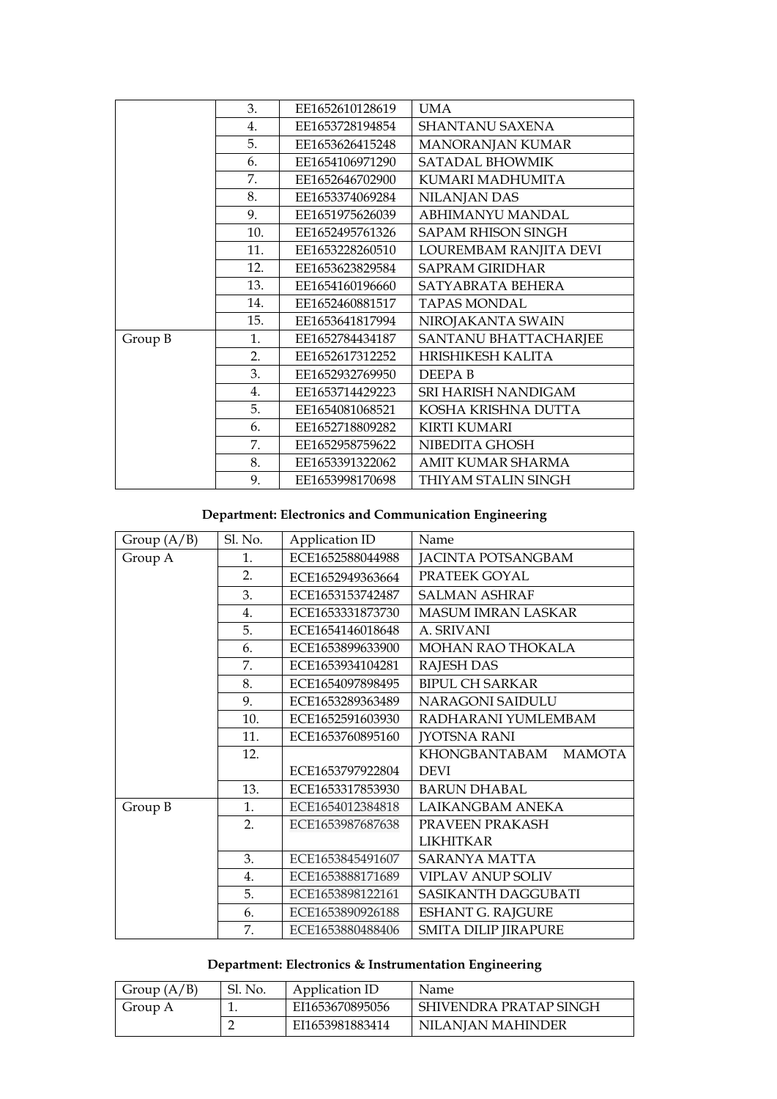|         | 3.  | EE1652610128619 | <b>UMA</b>                |
|---------|-----|-----------------|---------------------------|
|         | 4.  | EE1653728194854 | <b>SHANTANU SAXENA</b>    |
|         | 5.  | EE1653626415248 | MANORANJAN KUMAR          |
|         | 6.  | EE1654106971290 | SATADAL BHOWMIK           |
|         | 7.  | EE1652646702900 | KUMARI MADHUMITA          |
|         | 8.  | EE1653374069284 | NILANJAN DAS              |
|         | 9.  | EE1651975626039 | ABHIMANYU MANDAL          |
|         | 10. | EE1652495761326 | <b>SAPAM RHISON SINGH</b> |
|         | 11. | EE1653228260510 | LOUREMBAM RANJITA DEVI    |
|         | 12. | EE1653623829584 | <b>SAPRAM GIRIDHAR</b>    |
|         | 13. | EE1654160196660 | SATYABRATA BEHERA         |
|         | 14. | EE1652460881517 | <b>TAPAS MONDAL</b>       |
|         | 15. | EE1653641817994 | NIROJAKANTA SWAIN         |
| Group B | 1.  | EF1652784434187 | SANTANU BHATTACHARJEE     |
|         | 2.  | EE1652617312252 | HRISHIKESH KALITA         |
|         | 3.  | EE1652932769950 | DEEPA <sub>B</sub>        |
|         | 4.  | EE1653714429223 | SRI HARISH NANDIGAM       |
|         | 5.  | EE1654081068521 | KOSHA KRISHNA DUTTA       |
|         | 6.  | EE1652718809282 | <b>KIRTI KUMARI</b>       |
|         | 7.  | EE1652958759622 | NIBEDITA GHOSH            |
|         | 8.  | EE1653391322062 | AMIT KUMAR SHARMA         |
|         | 9.  | EE1653998170698 | THIYAM STALIN SINGH       |

# **Department: Electronics and Communication Engineering**

| Group $(A/B)$ | Sl. No. | Application ID   | Name                           |
|---------------|---------|------------------|--------------------------------|
| Group A       | 1.      | ECE1652588044988 | <b>JACINTA POTSANGBAM</b>      |
|               | 2.      | ECE1652949363664 | PRATEEK GOYAL                  |
|               | 3.      | ECE1653153742487 | <b>SALMAN ASHRAF</b>           |
|               | 4.      | ECE1653331873730 | <b>MASUM IMRAN LASKAR</b>      |
|               | 5.      | ECE1654146018648 | A. SRIVANI                     |
|               | 6.      | ECE1653899633900 | <b>MOHAN RAO THOKALA</b>       |
|               | 7.      | ECE1653934104281 | <b>RAJESH DAS</b>              |
|               | 8.      | ECE1654097898495 | <b>BIPUL CH SARKAR</b>         |
|               | 9.      | ECE1653289363489 | NARAGONI SAIDULU               |
|               | 10.     | ECE1652591603930 | RADHARANI YUMLEMBAM            |
|               | 11.     | ECE1653760895160 | <b>JYOTSNA RANI</b>            |
|               | 12.     |                  | KHONGBANTABAM<br><b>MAMOTA</b> |
|               |         | ECE1653797922804 | <b>DEVI</b>                    |
|               | 13.     | ECE1653317853930 | <b>BARUN DHABAL</b>            |
| Group B       | 1.      | ECE1654012384818 | LAIKANGBAM ANEKA               |
|               | 2.      | ECE1653987687638 | PRAVEEN PRAKASH                |
|               |         |                  | <b>LIKHITKAR</b>               |
|               | 3.      | ECE1653845491607 | <b>SARANYA MATTA</b>           |
|               | 4.      | ECE1653888171689 | <b>VIPLAV ANUP SOLIV</b>       |
|               | 5.      | ECE1653898122161 | SASIKANTH DAGGUBATI            |
|               | 6.      | ECE1653890926188 | <b>ESHANT G. RAJGURE</b>       |
|               | 7.      | ECE1653880488406 | SMITA DILIP JIRAPURE           |

#### **Department: Electronics & Instrumentation Engineering**

| Group $(A/B)$ | Sl. No. | Application ID  | Name                   |
|---------------|---------|-----------------|------------------------|
| Group A       |         | EI1653670895056 | SHIVENDRA PRATAP SINGH |
|               |         | EI1653981883414 | NILANJAN MAHINDER      |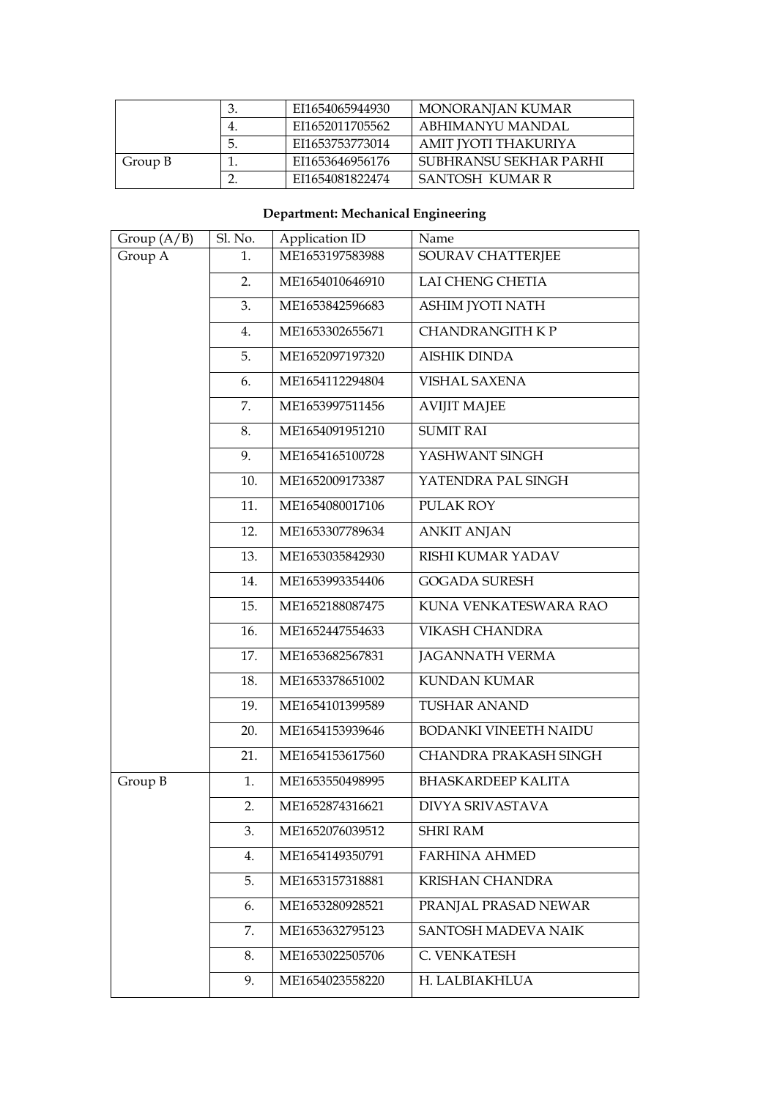|         |    | EI1654065944930 | MONORANJAN KUMAR       |
|---------|----|-----------------|------------------------|
|         | 4. | EI1652011705562 | ABHIMANYU MANDAL       |
|         | 5. | EI1653753773014 | AMIT JYOTI THAKURIYA   |
| Group B |    | EI1653646956176 | SUBHRANSU SEKHAR PARHI |
|         |    | EI1654081822474 | SANTOSH KUMAR R        |

## **Department: Mechanical Engineering**

|               | Sl. No. | Application ID  | Name                         |
|---------------|---------|-----------------|------------------------------|
| Group $(A/B)$ |         |                 |                              |
| Group A       | 1.      | ME1653197583988 | SOURAV CHATTERJEE            |
|               | 2.      | ME1654010646910 | <b>LAI CHENG CHETIA</b>      |
|               | 3.      | ME1653842596683 | ASHIM JYOTI NATH             |
|               | 4.      | ME1653302655671 | <b>CHANDRANGITH K P</b>      |
|               | 5.      | ME1652097197320 | <b>AISHIK DINDA</b>          |
|               | 6.      | ME1654112294804 | <b>VISHAL SAXENA</b>         |
|               | 7.      | ME1653997511456 | <b>AVIJIT MAJEE</b>          |
|               | 8.      | ME1654091951210 | <b>SUMIT RAI</b>             |
|               | 9.      | ME1654165100728 | YASHWANT SINGH               |
|               | 10.     | ME1652009173387 | YATENDRA PAL SINGH           |
|               | 11.     | ME1654080017106 | PULAK ROY                    |
|               | 12.     | ME1653307789634 | <b>ANKIT ANJAN</b>           |
|               | 13.     | ME1653035842930 | RISHI KUMAR YADAV            |
|               | 14.     | ME1653993354406 | <b>GOGADA SURESH</b>         |
|               | 15.     | ME1652188087475 | KUNA VENKATESWARA RAO        |
|               | 16.     | ME1652447554633 | <b>VIKASH CHANDRA</b>        |
|               | 17.     | ME1653682567831 | <b>JAGANNATH VERMA</b>       |
|               | 18.     | ME1653378651002 | <b>KUNDAN KUMAR</b>          |
|               | 19.     | ME1654101399589 | <b>TUSHAR ANAND</b>          |
|               | 20.     | ME1654153939646 | <b>BODANKI VINEETH NAIDU</b> |
|               | 21.     | ME1654153617560 | <b>CHANDRA PRAKASH SINGH</b> |
| Group B       | 1.      | ME1653550498995 | <b>BHASKARDEEP KALITA</b>    |
|               | 2.      | ME1652874316621 | <b>DIVYA SRIVASTAVA</b>      |
|               | 3.      | ME1652076039512 | <b>SHRI RAM</b>              |
|               | 4.      | ME1654149350791 | <b>FARHINA AHMED</b>         |
|               | 5.      | ME1653157318881 | <b>KRISHAN CHANDRA</b>       |
|               | 6.      | ME1653280928521 | PRANJAL PRASAD NEWAR         |
|               | 7.      | ME1653632795123 | SANTOSH MADEVA NAIK          |
|               | 8.      | ME1653022505706 | C. VENKATESH                 |
|               | 9.      | ME1654023558220 | H. LALBIAKHLUA               |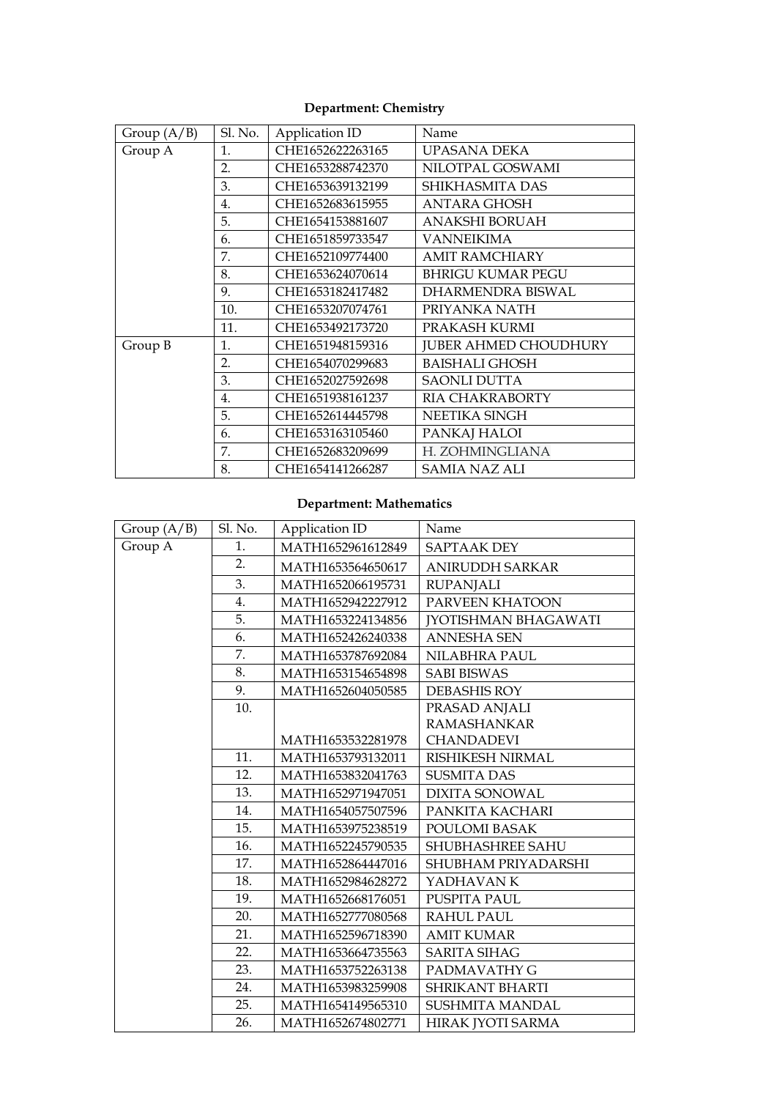| Group $(A/B)$ | Sl. No. | Application ID   | Name                         |
|---------------|---------|------------------|------------------------------|
| Group A       | 1.      | CHE1652622263165 | <b>UPASANA DEKA</b>          |
|               | 2.      | CHE1653288742370 | NILOTPAL GOSWAMI             |
|               | 3.      | CHE1653639132199 | SHIKHASMITA DAS              |
|               | 4.      | CHE1652683615955 | ANTARA GHOSH                 |
|               | 5.      | CHE1654153881607 | ANAKSHI BORUAH               |
|               | 6.      | CHE1651859733547 | <b>VANNEIKIMA</b>            |
|               | 7.      | CHE1652109774400 | <b>AMIT RAMCHIARY</b>        |
|               | 8.      | CHE1653624070614 | <b>BHRIGU KUMAR PEGU</b>     |
|               | 9.      | CHE1653182417482 | DHARMENDRA BISWAL            |
|               | 10.     | CHE1653207074761 | PRIYANKA NATH                |
|               | 11.     | CHE1653492173720 | PRAKASH KURMI                |
| Group B       | 1.      | CHE1651948159316 | <b>JUBER AHMED CHOUDHURY</b> |
|               | 2.      | CHE1654070299683 | <b>BAISHALI GHOSH</b>        |
|               | 3.      | CHE1652027592698 | <b>SAONLI DUTTA</b>          |
|               | 4.      | CHE1651938161237 | RIA CHAKRABORTY              |
|               | 5.      | CHE1652614445798 | NEETIKA SINGH                |
|               | 6.      | CHE1653163105460 | PANKAJ HALOI                 |
|               | 7.      | CHE1652683209699 | H. ZOHMINGLIANA              |
|               | 8.      | CHE1654141266287 | <b>SAMIA NAZ ALI</b>         |

#### **Department: Chemistry**

## **Department: Mathematics**

| Group $(A/B)$ | Sl. No. | Application ID    | Name                        |
|---------------|---------|-------------------|-----------------------------|
| Group A       | 1.      | MATH1652961612849 | <b>SAPTAAK DEY</b>          |
|               | 2.      | MATH1653564650617 | <b>ANIRUDDH SARKAR</b>      |
|               | 3.      | MATH1652066195731 | <b>RUPANJALI</b>            |
|               | 4.      | MATH1652942227912 | PARVEEN KHATOON             |
|               | 5.      | MATH1653224134856 | <b>[YOTISHMAN BHAGAWATI</b> |
|               | 6.      | MATH1652426240338 | <b>ANNESHA SEN</b>          |
|               | 7.      | MATH1653787692084 | NILABHRA PAUL               |
|               | 8.      | MATH1653154654898 | <b>SABI BISWAS</b>          |
|               | 9.      | MATH1652604050585 | <b>DEBASHIS ROY</b>         |
|               | 10.     |                   | PRASAD ANJALI               |
|               |         |                   | <b>RAMASHANKAR</b>          |
|               |         | MATH1653532281978 | <b>CHANDADEVI</b>           |
|               | 11.     | MATH1653793132011 | RISHIKESH NIRMAL            |
|               | 12.     | MATH1653832041763 | <b>SUSMITA DAS</b>          |
|               | 13.     | MATH1652971947051 | <b>DIXITA SONOWAL</b>       |
|               | 14.     | MATH1654057507596 | PANKITA KACHARI             |
|               | 15.     | MATH1653975238519 | POULOMI BASAK               |
|               | 16.     | MATH1652245790535 | SHUBHASHREE SAHU            |
|               | 17.     | MATH1652864447016 | SHUBHAM PRIYADARSHI         |
|               | 18.     | MATH1652984628272 | YADHAVAN K                  |
|               | 19.     | MATH1652668176051 | PUSPITA PAUL                |
|               | 20.     | MATH1652777080568 | <b>RAHUL PAUL</b>           |
|               | 21.     | MATH1652596718390 | <b>AMIT KUMAR</b>           |
|               | 22.     | MATH1653664735563 | <b>SARITA SIHAG</b>         |
|               | 23.     | MATH1653752263138 | PADMAVATHY G                |
|               | 24.     | MATH1653983259908 | <b>SHRIKANT BHARTI</b>      |
|               | 25.     | MATH1654149565310 | SUSHMITA MANDAL             |
|               | 26.     | MATH1652674802771 | HIRAK JYOTI SARMA           |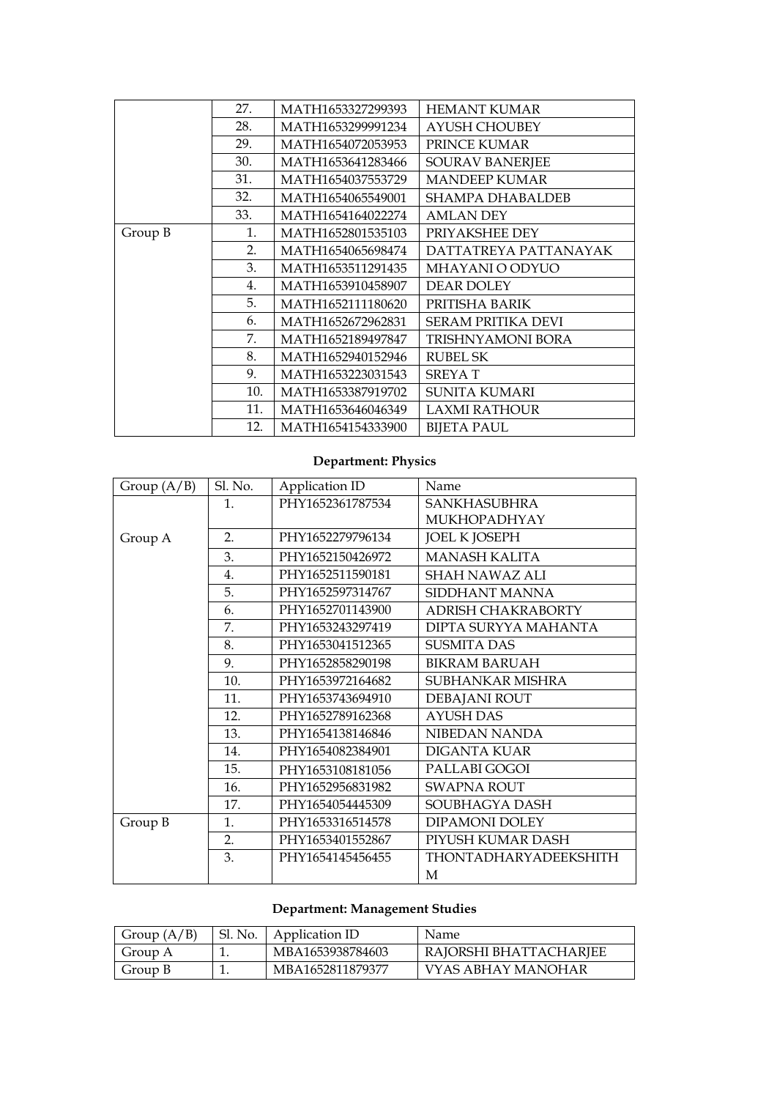|         | 27. | MATH1653327299393 | <b>HEMANT KUMAR</b>       |
|---------|-----|-------------------|---------------------------|
|         | 28. | MATH1653299991234 | <b>AYUSH CHOUBEY</b>      |
|         | 29. | MATH1654072053953 | PRINCE KUMAR              |
|         | 30. | MATH1653641283466 | <b>SOURAV BANERJEE</b>    |
|         | 31. | MATH1654037553729 | <b>MANDEEP KUMAR</b>      |
|         | 32. | MATH1654065549001 | SHAMPA DHABALDEB          |
|         | 33. | MATH1654164022274 | <b>AMLAN DEY</b>          |
| Group B | 1.  | MATH1652801535103 | PRIYAKSHEE DEY            |
|         | 2.  | MATH1654065698474 | DATTATREYA PATTANAYAK     |
|         | 3.  | MATH1653511291435 | MHAYANI O ODYUO           |
|         | 4.  | MATH1653910458907 | <b>DEAR DOLEY</b>         |
|         | 5.  | MATH1652111180620 | PRITISHA BARIK            |
|         | 6.  | MATH1652672962831 | <b>SERAM PRITIKA DEVI</b> |
|         | 7.  | MATH1652189497847 | TRISHNYAMONI BORA         |
|         | 8.  | MATH1652940152946 | <b>RUBEL SK</b>           |
|         | 9.  | MATH1653223031543 | <b>SREYAT</b>             |
|         | 10. | MATH1653387919702 | <b>SUNITA KUMARI</b>      |
|         | 11. | MATH1653646046349 | LAXMI RATHOUR             |
|         | 12. | MATH1654154333900 | <b>BIJETA PAUL</b>        |

## **Department: Physics**

| Group $(A/B)$ | Sl. No. | Application ID   | Name                      |
|---------------|---------|------------------|---------------------------|
|               | 1.      | PHY1652361787534 | <b>SANKHASUBHRA</b>       |
|               |         |                  | MUKHOPADHYAY              |
| Group A       | 2.      | PHY1652279796134 | <b>JOEL K JOSEPH</b>      |
|               | 3.      | PHY1652150426972 | <b>MANASH KALITA</b>      |
|               | 4.      | PHY1652511590181 | <b>SHAH NAWAZ ALI</b>     |
|               | 5.      | PHY1652597314767 | SIDDHANT MANNA            |
|               | 6.      | PHY1652701143900 | <b>ADRISH CHAKRABORTY</b> |
|               | 7.      | PHY1653243297419 | DIPTA SURYYA MAHANTA      |
|               | 8.      | PHY1653041512365 | <b>SUSMITA DAS</b>        |
|               | 9.      | PHY1652858290198 | <b>BIKRAM BARUAH</b>      |
|               | 10.     | PHY1653972164682 | SUBHANKAR MISHRA          |
|               | 11.     | PHY1653743694910 | DEBAJANI ROUT             |
|               | 12.     | PHY1652789162368 | <b>AYUSH DAS</b>          |
|               | 13.     | PHY1654138146846 | NIBEDAN NANDA             |
|               | 14.     | PHY1654082384901 | <b>DIGANTA KUAR</b>       |
|               | 15.     | PHY1653108181056 | PALLABI GOGOI             |
|               | 16.     | PHY1652956831982 | <b>SWAPNA ROUT</b>        |
|               | 17.     | PHY1654054445309 | SOUBHAGYA DASH            |
| Group B       | 1.      | PHY1653316514578 | <b>DIPAMONI DOLEY</b>     |
|               | 2.      | PHY1653401552867 | PIYUSH KUMAR DASH         |
|               | 3.      | PHY1654145456455 | THONTADHARYADEEKSHITH     |
|               |         |                  | М                         |

## **Department: Management Studies**

| Group $(A/B)$ | Sl. No.   Application ID | Name                   |
|---------------|--------------------------|------------------------|
| Group A       | MBA1653938784603         | RAJORSHI BHATTACHARJEE |
| Group B       | MBA1652811879377         | VYAS ABHAY MANOHAR     |